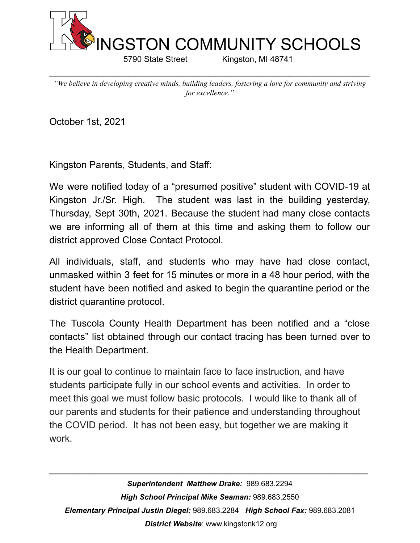

5790 State Street Kingston, MI 48741

*"We believe in developing creative minds, building leaders, fostering a love for community and striving for excellence."*

 $\_$ 

October 1st, 2021

Kingston Parents, Students, and Staff:

We were notified today of a "presumed positive" student with COVID-19 at Kingston Jr./Sr. High. The student was last in the building yesterday, Thursday, Sept 30th, 2021. Because the student had many close contacts we are informing all of them at this time and asking them to follow our district approved Close Contact Protocol.

All individuals, staff, and students who may have had close contact, unmasked within 3 feet for 15 minutes or more in a 48 hour period, with the student have been notified and asked to begin the quarantine period or the district quarantine protocol.

The Tuscola County Health Department has been notified and a "close contacts" list obtained through our contact tracing has been turned over to the Health Department.

It is our goal to continue to maintain face to face instruction, and have students participate fully in our school events and activities. In order to meet this goal we must follow basic protocols. I would like to thank all of our parents and students for their patience and understanding throughout the COVID period. It has not been easy, but together we are making it work.

*Superintendent Matthew Drake:* 989.683.2294 *High School Principal Mike Seaman:* 989.683.2550 *Elementary Principal Justin Diegel:* 989.683.2284 *High School Fax:* 989.683.2081 *District Website*: www.kingstonk12.org

*\_\_\_\_\_\_\_\_\_\_\_\_\_\_\_\_\_\_\_\_\_\_\_\_\_\_\_\_\_\_\_\_\_\_\_\_\_\_\_\_\_\_\_\_\_\_\_\_\_\_\_\_\_\_\_\_\_\_\_\_\_\_\_\_\_\_\_\_\_\_\_\_\_\_\_\_*